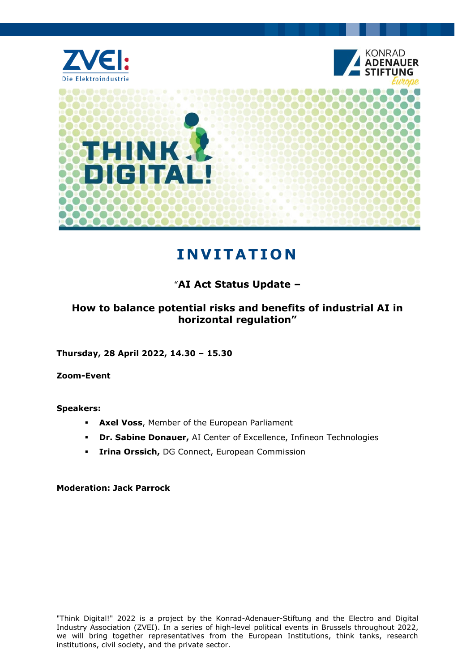

# **IN V I T AT IO N**

### "**AI Act Status Update –**

### **How to balance potential risks and benefits of industrial AI in horizontal regulation"**

**Thursday, 28 April 2022, 14.30 – 15.30**

**Zoom-Event**

**Speakers:**

- **Axel Voss**, Member of the European Parliament
- **Dr. Sabine Donauer,** AI Center of Excellence, Infineon Technologies
- **Irina Orssich,** DG Connect, European Commission

**Moderation: Jack Parrock**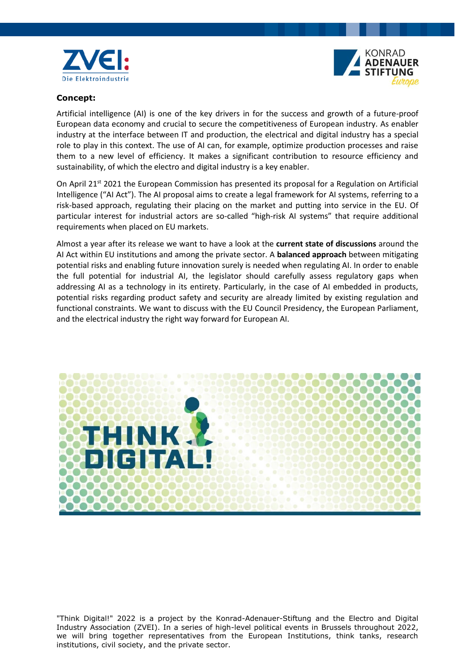



#### **Concept:**

Artificial intelligence (AI) is one of the key drivers in for the success and growth of a future-proof European data economy and crucial to secure the competitiveness of European industry. As enabler industry at the interface between IT and production, the electrical and digital industry has a special role to play in this context. The use of AI can, for example, optimize production processes and raise them to a new level of efficiency. It makes a significant contribution to resource efficiency and sustainability, of which the electro and digital industry is a key enabler.

On April 21<sup>st</sup> 2021 the European Commission has presented its proposal for a Regulation on Artificial Intelligence ("AI Act"). The AI proposal aims to create a legal framework for AI systems, referring to a risk-based approach, regulating their placing on the market and putting into service in the EU. Of particular interest for industrial actors are so-called "high-risk AI systems" that require additional requirements when placed on EU markets.

Almost a year after its release we want to have a look at the **current state of discussions** around the AI Act within EU institutions and among the private sector. A **balanced approach** between mitigating potential risks and enabling future innovation surely is needed when regulating AI. In order to enable the full potential for industrial AI, the legislator should carefully assess regulatory gaps when addressing AI as a technology in its entirety. Particularly, in the case of AI embedded in products, potential risks regarding product safety and security are already limited by existing regulation and functional constraints. We want to discuss with the EU Council Presidency, the European Parliament, and the electrical industry the right way forward for European AI.



"Think Digital!" 2022 is a project by the Konrad-Adenauer-Stiftung and the Electro and Digital Industry Association (ZVEI). In a series of high-level political events in Brussels throughout 2022, we will bring together representatives from the European Institutions, think tanks, research institutions, civil society, and the private sector.